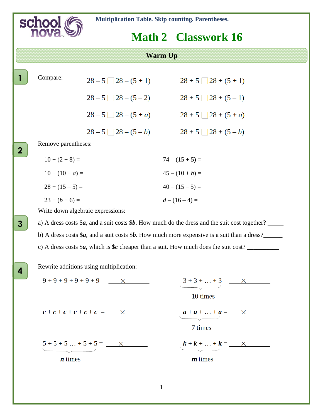

 **Math 2 Classwork 16**

**Warm Up**

| Compare: |
|----------|
|----------|

**2**

**1**

**.**

**.**

**3**

**.**

**4**

**.**

| $\sim$ $\sim$ $\sim$ $\sim$ $\sim$ $\sim$ | $28 - 5$   $28 - (5 + 1)$      | $28 + 5$   $28 + (5 + 1)$      |
|-------------------------------------------|--------------------------------|--------------------------------|
|                                           | $28 - 5$ $\Box$ $28 - (5 - 2)$ | $28 + 5$ $\Box$ $28 + (5 - 1)$ |
|                                           | $28-5$ $28-(5+a)$              | $28 + 5$ $\Box$ $28 + (5 + a)$ |
|                                           | $28-5$ $\boxed{28-(5-b)}$      | $28 + 5 \square 28 + (5-b)$    |
| Remove parentheses:                       |                                |                                |
| $10 + (2 + 8) =$                          |                                | $74 - (15 + 5) =$              |
| $10 + (10 + a) =$                         |                                | $45 - (10 + h) =$              |
| $28 + (15 - 5) =$                         |                                | $40 - (15 - 5) =$              |
| $23+(b+6)=$                               |                                | $d-(16-4)=$                    |

Write down algebraic expressions:

a) A dress costs \$*a*, and a suit costs \$*b*. How much do the dress and the suit cost together? b) A dress costs \$*a,* and a suit costs \$*b*. How much more expensive is a suit than a dress?\_\_\_\_\_\_ c) A dress costs \$*a*, which is \$*c* cheaper than a suit. How much does the suit cost?

Rewrite additions using multiplication:



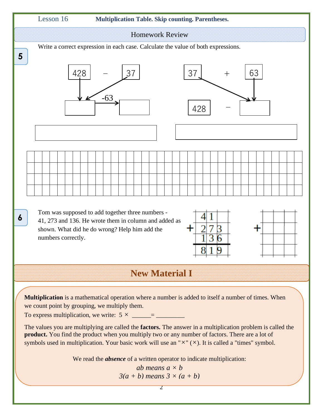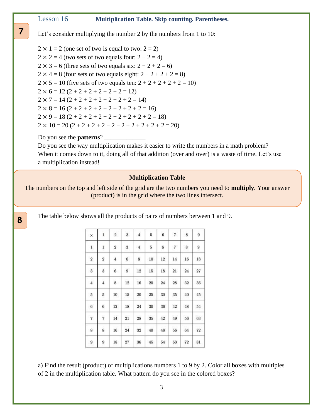### Lesson 16 **Multiplication Table. Skip counting. Parentheses.**

**..**

**8**

**.**

Let's consider multiplying the number 2 by the numbers from 1 to 10:

 $2 \times 1 = 2$  (one set of two is equal to two:  $2 = 2$ )  $2 \times 2 = 4$  (two sets of two equals four:  $2 + 2 = 4$ )  $2 \times 3 = 6$  (three sets of two equals six:  $2 + 2 + 2 = 6$ )  $2 \times 4 = 8$  (four sets of two equals eight:  $2 + 2 + 2 + 2 = 8$ )  $2 \times 5 = 10$  (five sets of two equals ten:  $2 + 2 + 2 + 2 + 2 = 10$ )  $2 \times 6 = 12 (2 + 2 + 2 + 2 + 2 + 2 = 12)$  $2 \times 7 = 14 (2 + 2 + 2 + 2 + 2 + 2 + 2 = 14)$  $2 \times 8 = 16 (2 + 2 + 2 + 2 + 2 + 2 + 2 + 2 = 16)$  $2 \times 9 = 18 (2 + 2 + 2 + 2 + 2 + 2 + 2 + 2 + 2 = 18)$  $2 \times 10 = 20 (2 + 2 + 2 + 2 + 2 + 2 + 2 + 2 + 2 + 2 = 20)$ 

### Do you see the **patterns**? \_\_\_\_\_\_\_\_\_\_\_\_\_

Do you see the way multiplication makes it easier to write the numbers in a math problem? When it comes down to it, doing all of that addition (over and over) is a waste of time. Let's use a multiplication instead!

#### **Multiplication Table**

The numbers on the top and left side of the grid are the two numbers you need to **multiply**. Your answer (product) is in the grid where the two lines intersect.

The table below shows all the products of pairs of numbers between 1 and 9.

| $\times$                | $\mathbf{1}$            | $\mathbf{2}$            | 3                | $\overline{4}$ | 5  | $\bf{6}$ | $7\phantom{.}$ | 8       | 9       |
|-------------------------|-------------------------|-------------------------|------------------|----------------|----|----------|----------------|---------|---------|
| 1                       | $\mathbf{1}$            | $\overline{\mathbf{2}}$ | $\,$             | $\overline{4}$ | 5  | 6        | 7              | 8       | 9       |
| $\overline{\mathbf{c}}$ | $\overline{\mathbf{2}}$ | $\overline{4}$          | 6                | $\bf 8$        | 10 | 12       | 14             | 16      | 18      |
| $\overline{\mathbf{3}}$ | 3                       | $\overline{6}$          | $\boldsymbol{9}$ | 12             | 15 | 18       | $\bf{21}$      | $^{24}$ | $^{27}$ |
| $\overline{4}$          | 4                       | 8                       | 12               | 16             | 20 | $^{24}$  | 28             | 32      | 36      |
| $\sqrt{5}$              | 5                       | 10                      | 15               | 20             | 25 | 30       | 35             | 40      | 45      |
| 6                       | 6                       | 12                      | 18               | 24             | 30 | 36       | 42             | 48      | 54      |
| $\overline{7}$          | 7                       | <b>LEGO</b><br>$^{14}$  | $^{21}$          | 28             | 35 | 42       | 49             | 56      | 63      |
| 8                       | 8                       | 16                      | 24               | 32             | 40 | 48       | 56             | 64      | $72\,$  |
| 9                       | 9                       | 18                      | $\sqrt{27}$      | 36             | 45 | 54       | 63             | 72      | 81      |

a) Find the result (product) of multiplications numbers 1 to 9 by 2. Color all boxes with multiples of 2 in the multiplication table. What pattern do you see in the colored boxes?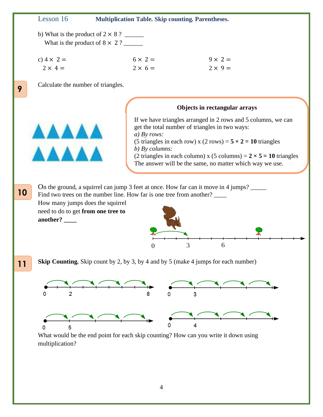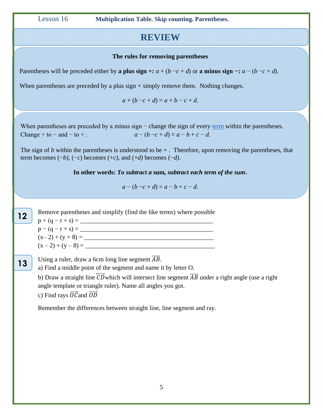Lesson 16 **Multiplication Table. Skip counting. Parentheses.**

# **REVIEW**

### **The rules for removing parentheses**

Parentheses will be preceded either by **a plus sign** +:  $a + (b - c + d)$  or **a minus sign** -:  $a - (b - c + d)$ .

When parentheses are preceded by a plus sign + simply remove them. Nothing changes.

 $a + (b - c + d) = a + b - c + d$ .

When parentheses are preceded by a minus sign  $-$  change the sign of every [term](https://themathpage.com/Alg/algebraic-expressions.htm#factors) within the parentheses. Change + to − and − to + .  $a - (b - c + d) = a - b + c - d$ .

The sign of  $b$  within the parentheses is understood to be  $+$ . Therefore, upon removing the parentheses, that term becomes  $(-b)$ ,  $(-c)$  becomes  $(+c)$ , and  $(+d)$  becomes  $(-d)$ .

**In other words:** *To subtract a* **[sum](https://themathpage.com/Alg/algebraic-expressions.htm#sum)***, subtract each term of the sum***.**

 $a - (b - c + d) = a - b + c - d.$ 

Remove parentheses and simplify (find the like terms) where possible  $p + (q - r + s) =$  $p - (q - r + s) =$ (x– 2) + (y + 8) = \_\_\_\_\_\_\_\_\_\_\_\_\_\_\_\_\_\_\_\_\_\_\_\_\_\_\_\_\_\_\_\_\_\_\_\_\_\_\_\_\_ (x – 2) + (y – 8) = \_\_\_\_\_\_\_\_\_\_\_\_\_\_\_\_\_\_\_\_\_\_\_\_\_\_\_\_\_\_\_\_\_\_\_\_\_\_\_\_\_ Using a ruler, draw a 6cm long line segment  $\overline{AB}$ . a) Find a middle point of the segment and name it by letter O. b) Draw a straight line  $\overline{CD}$  which will intersect line segment  $\overline{AB}$  under a right angle (use a right angle template or triangle ruler). Name all angles you got. c) Find rays  $\overrightarrow{OC}$  and  $\overrightarrow{OD}$ Remember the differences between straight line, line segment and ray. **12 . 13 ..**